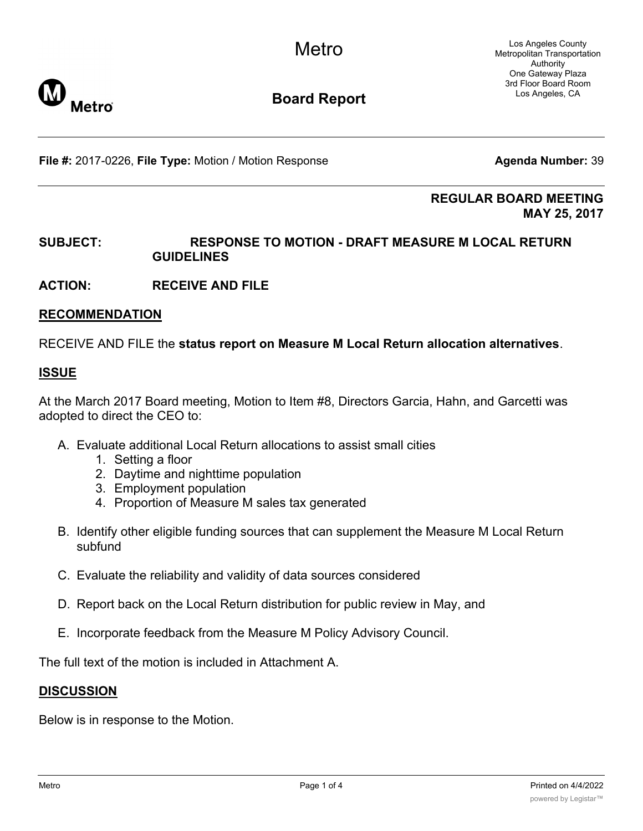Los Angeles County Metropolitan Transportation Authority One Gateway Plaza 3rd Floor Board Room Los Angeles, CA



# **Board Report**

**File #:** 2017-0226, File Type: Motion / Motion Response **Agenda Number:** 39

**REGULAR BOARD MEETING MAY 25, 2017**

### **SUBJECT: RESPONSE TO MOTION - DRAFT MEASURE M LOCAL RETURN GUIDELINES**

**ACTION: RECEIVE AND FILE**

#### **RECOMMENDATION**

RECEIVE AND FILE the **status report on Measure M Local Return allocation alternatives**.

#### **ISSUE**

At the March 2017 Board meeting, Motion to Item #8, Directors Garcia, Hahn, and Garcetti was adopted to direct the CEO to:

- A. Evaluate additional Local Return allocations to assist small cities
	- 1. Setting a floor
	- 2. Daytime and nighttime population
	- 3. Employment population
	- 4. Proportion of Measure M sales tax generated
- B. Identify other eligible funding sources that can supplement the Measure M Local Return subfund
- C. Evaluate the reliability and validity of data sources considered
- D. Report back on the Local Return distribution for public review in May, and
- E. Incorporate feedback from the Measure M Policy Advisory Council.

The full text of the motion is included in Attachment A.

#### **DISCUSSION**

Below is in response to the Motion.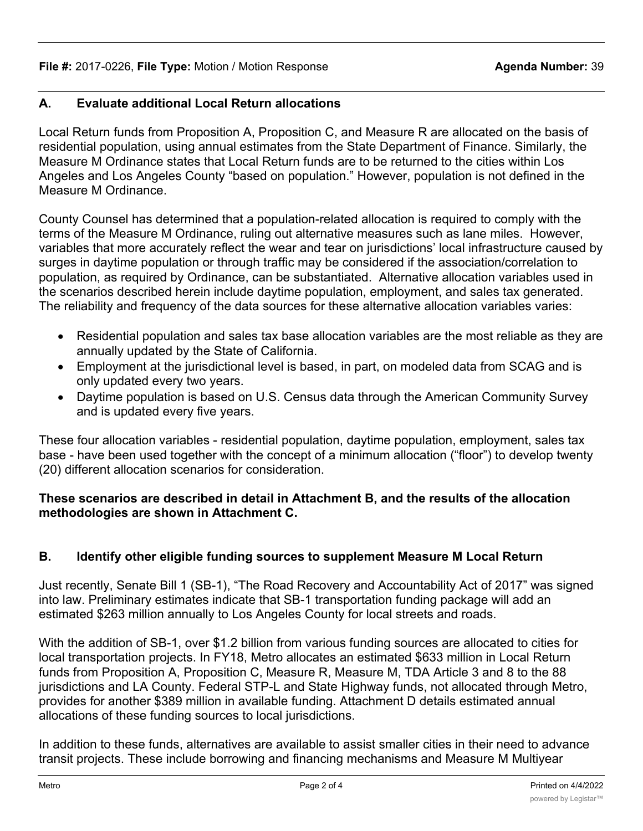# **A. Evaluate additional Local Return allocations**

Local Return funds from Proposition A, Proposition C, and Measure R are allocated on the basis of residential population, using annual estimates from the State Department of Finance. Similarly, the Measure M Ordinance states that Local Return funds are to be returned to the cities within Los Angeles and Los Angeles County "based on population." However, population is not defined in the Measure M Ordinance.

County Counsel has determined that a population-related allocation is required to comply with the terms of the Measure M Ordinance, ruling out alternative measures such as lane miles. However, variables that more accurately reflect the wear and tear on jurisdictions' local infrastructure caused by surges in daytime population or through traffic may be considered if the association/correlation to population, as required by Ordinance, can be substantiated. Alternative allocation variables used in the scenarios described herein include daytime population, employment, and sales tax generated. The reliability and frequency of the data sources for these alternative allocation variables varies:

- · Residential population and sales tax base allocation variables are the most reliable as they are annually updated by the State of California.
- · Employment at the jurisdictional level is based, in part, on modeled data from SCAG and is only updated every two years.
- · Daytime population is based on U.S. Census data through the American Community Survey and is updated every five years.

These four allocation variables - residential population, daytime population, employment, sales tax base - have been used together with the concept of a minimum allocation ("floor") to develop twenty (20) different allocation scenarios for consideration.

## **These scenarios are described in detail in Attachment B, and the results of the allocation methodologies are shown in Attachment C.**

# **B. Identify other eligible funding sources to supplement Measure M Local Return**

Just recently, Senate Bill 1 (SB-1), "The Road Recovery and Accountability Act of 2017" was signed into law. Preliminary estimates indicate that SB-1 transportation funding package will add an estimated \$263 million annually to Los Angeles County for local streets and roads.

With the addition of SB-1, over \$1.2 billion from various funding sources are allocated to cities for local transportation projects. In FY18, Metro allocates an estimated \$633 million in Local Return funds from Proposition A, Proposition C, Measure R, Measure M, TDA Article 3 and 8 to the 88 jurisdictions and LA County. Federal STP-L and State Highway funds, not allocated through Metro, provides for another \$389 million in available funding. Attachment D details estimated annual allocations of these funding sources to local jurisdictions.

In addition to these funds, alternatives are available to assist smaller cities in their need to advance transit projects. These include borrowing and financing mechanisms and Measure M Multiyear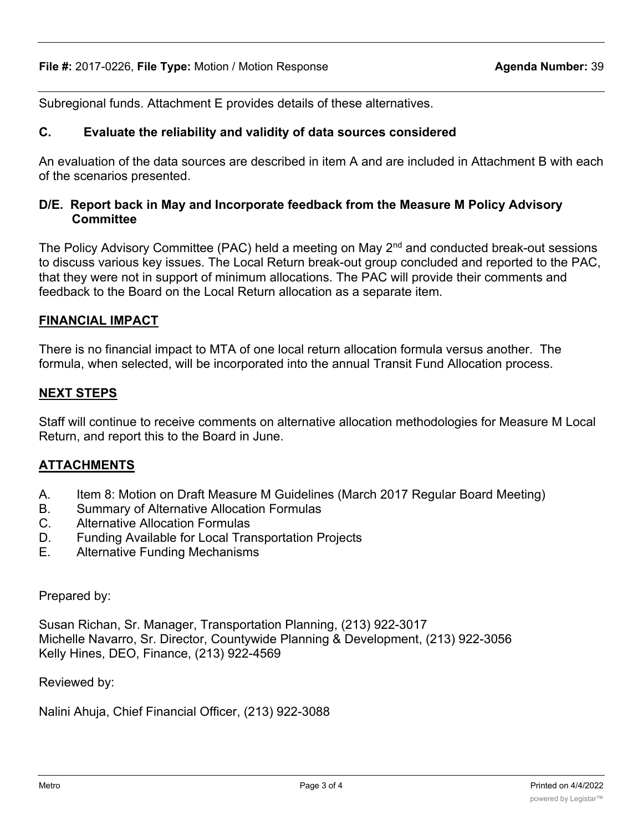Subregional funds. Attachment E provides details of these alternatives.

#### **C. Evaluate the reliability and validity of data sources considered**

An evaluation of the data sources are described in item A and are included in Attachment B with each of the scenarios presented.

#### **D/E. Report back in May and Incorporate feedback from the Measure M Policy Advisory Committee**

The Policy Advisory Committee (PAC) held a meeting on May  $2<sup>nd</sup>$  and conducted break-out sessions to discuss various key issues. The Local Return break-out group concluded and reported to the PAC, that they were not in support of minimum allocations. The PAC will provide their comments and feedback to the Board on the Local Return allocation as a separate item.

### **FINANCIAL IMPACT**

There is no financial impact to MTA of one local return allocation formula versus another. The formula, when selected, will be incorporated into the annual Transit Fund Allocation process.

#### **NEXT STEPS**

Staff will continue to receive comments on alternative allocation methodologies for Measure M Local Return, and report this to the Board in June.

### **ATTACHMENTS**

- A. Item 8: Motion on Draft Measure M Guidelines (March 2017 Regular Board Meeting)
- B. Summary of Alternative Allocation Formulas
- C. Alternative Allocation Formulas
- D. Funding Available for Local Transportation Projects
- E. Alternative Funding Mechanisms

#### Prepared by:

Susan Richan, Sr. Manager, Transportation Planning, (213) 922-3017 Michelle Navarro, Sr. Director, Countywide Planning & Development, (213) 922-3056 Kelly Hines, DEO, Finance, (213) 922-4569

Reviewed by:

Nalini Ahuja, Chief Financial Officer, (213) 922-3088